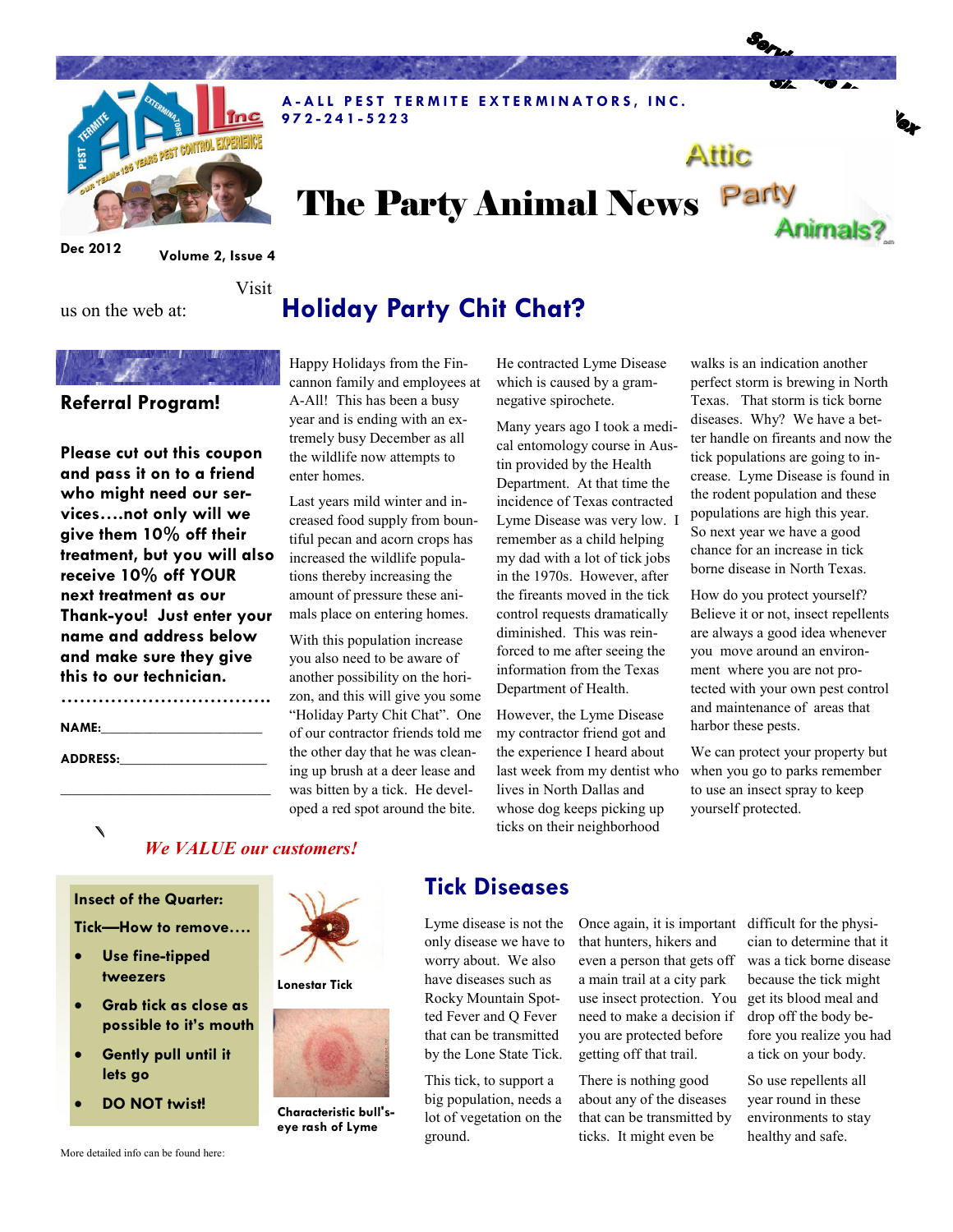

## The Party Animal News Party Animals?

A - A LL PEST TERMITE EXTERMINATORS, INC.

Dec 2012 Volume 2, Issue 4

Visit

# Holiday Party Chit Chat?

### Referral Program!

us on the web at:

Please cut out this coupon and pass it on to a friend who might need our services….not only will we give them 10% off their treatment, but you will also receive 10% off YOUR next treatment as our Thank-you! Just enter your name and address below and make sure they give this to our technician.

| <b>NAME:</b>    |  |  |
|-----------------|--|--|
| <b>ADDRESS:</b> |  |  |

\_\_\_\_\_\_\_\_\_\_\_\_\_\_\_\_\_\_\_\_\_\_\_\_\_\_\_\_\_\_

Happy Holidays from the Fincannon family and employees at A-All! This has been a busy year and is ending with an extremely busy December as all the wildlife now attempts to enter homes.

9 7 2 - 2 4 1 - 5 2 2 3

Last years mild winter and increased food supply from bountiful pecan and acorn crops has increased the wildlife populations thereby increasing the amount of pressure these animals place on entering homes.

With this population increase you also need to be aware of another possibility on the horizon, and this will give you some "Holiday Party Chit Chat". One of our contractor friends told me the other day that he was cleaning up brush at a deer lease and was bitten by a tick. He developed a red spot around the bite.

He contracted Lyme Disease which is caused by a gramnegative spirochete.

Many years ago I took a medical entomology course in Austin provided by the Health Department. At that time the incidence of Texas contracted Lyme Disease was very low. I remember as a child helping my dad with a lot of tick jobs in the 1970s. However, after the fireants moved in the tick control requests dramatically diminished. This was reinforced to me after seeing the information from the Texas Department of Health.

However, the Lyme Disease my contractor friend got and the experience I heard about last week from my dentist who lives in North Dallas and whose dog keeps picking up ticks on their neighborhood

walks is an indication another perfect storm is brewing in North Texas. That storm is tick borne diseases. Why? We have a better handle on fireants and now the tick populations are going to increase. Lyme Disease is found in the rodent population and these populations are high this year. So next year we have a good chance for an increase in tick borne disease in North Texas.

Attic

How do you protect yourself? Believe it or not, insect repellents are always a good idea whenever you move around an environment where you are not protected with your own pest control and maintenance of areas that harbor these pests.

We can protect your property but when you go to parks remember to use an insect spray to keep yourself protected.

### We VALUE our customers!

#### Insect of the Quarter:

Tick—How to remove….

- Use fine-tipped tweezers
- Grab tick as close as possible to it's mouth
- Gently pull until it lets go
- DO NOT twist!



### Tick Diseases

Lyme disease is not the only disease we have to worry about. We also have diseases such as Rocky Mountain Spotted Fever and Q Fever that can be transmitted by the Lone State Tick.

This tick, to support a big population, needs a lot of vegetation on the ground.

Once again, it is important that hunters, hikers and even a person that gets off a main trail at a city park use insect protection. You need to make a decision if you are protected before getting off that trail.

There is nothing good about any of the diseases that can be transmitted by ticks. It might even be

difficult for the physician to determine that it was a tick borne disease because the tick might get its blood meal and drop off the body before you realize you had a tick on your body.

So use repellents all year round in these environments to stay healthy and safe.



Characteristic bull's-